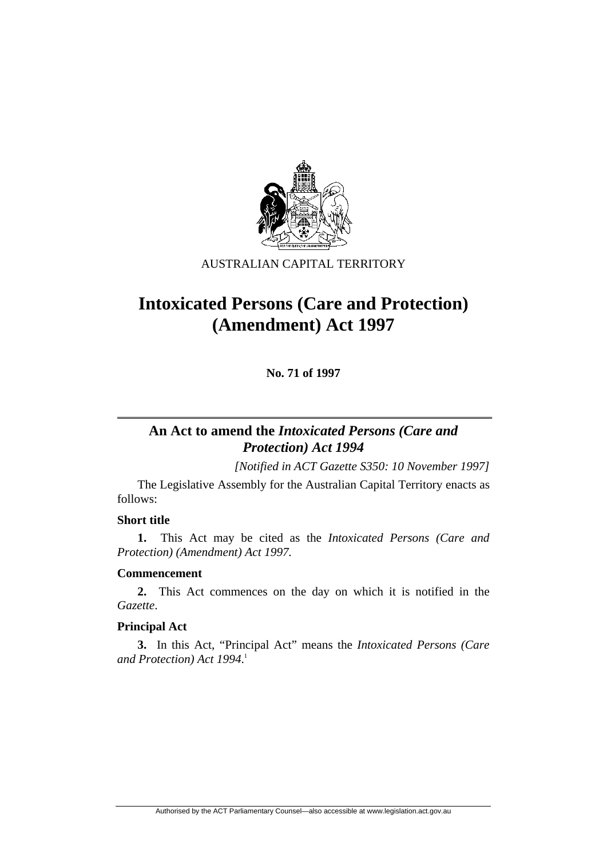

## AUSTRALIAN CAPITAL TERRITORY

# **Intoxicated Persons (Care and Protection) (Amendment) Act 1997**

**No. 71 of 1997** 

# **An Act to amend the** *Intoxicated Persons (Care and Protection) Act 1994*

*[Notified in ACT Gazette S350: 10 November 1997]*

 The Legislative Assembly for the Australian Capital Territory enacts as follows:

## **Short title**

**1.** This Act may be cited as the *Intoxicated Persons (Care and Protection) (Amendment) Act 1997.*

## **Commencement**

**2.** This Act commences on the day on which it is notified in the *Gazette*.

## **Principal Act**

**3.** In this Act, "Principal Act" means the *Intoxicated Persons (Care and Protection) Act 1994*. 1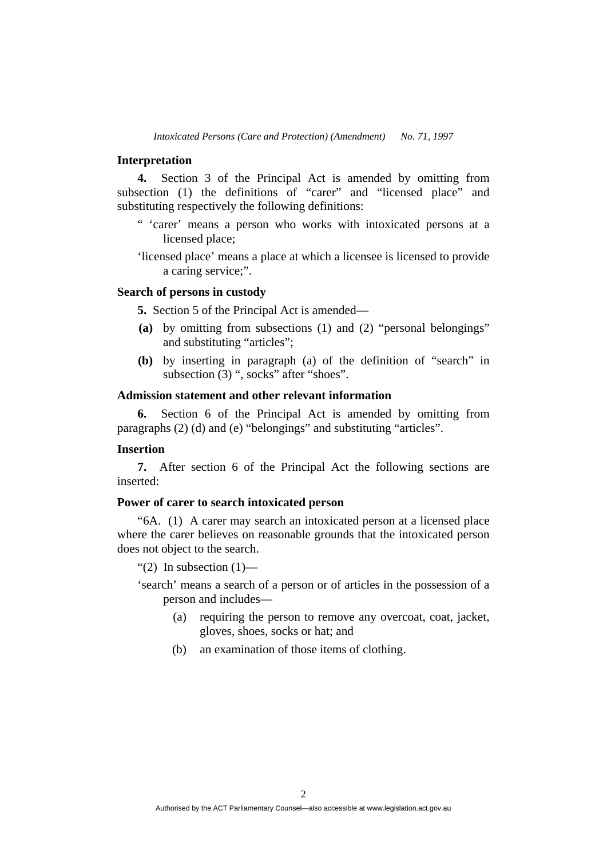#### **Interpretation**

**4.** Section 3 of the Principal Act is amended by omitting from subsection (1) the definitions of "carer" and "licensed place" and substituting respectively the following definitions:

- " 'carer' means a person who works with intoxicated persons at a licensed place;
- 'licensed place' means a place at which a licensee is licensed to provide a caring service;".

#### **Search of persons in custody**

**5.** Section 5 of the Principal Act is amended—

- **(a)** by omitting from subsections (1) and (2) "personal belongings" and substituting "articles";
- **(b)** by inserting in paragraph (a) of the definition of "search" in subsection (3) ", socks" after "shoes".

## **Admission statement and other relevant information**

**6.** Section 6 of the Principal Act is amended by omitting from paragraphs (2) (d) and (e) "belongings" and substituting "articles".

#### **Insertion**

**7.** After section 6 of the Principal Act the following sections are inserted:

## **Power of carer to search intoxicated person**

"6A. (1) A carer may search an intoxicated person at a licensed place where the carer believes on reasonable grounds that the intoxicated person does not object to the search.

"(2) In subsection  $(1)$ —

'search' means a search of a person or of articles in the possession of a person and includes—

- (a) requiring the person to remove any overcoat, coat, jacket, gloves, shoes, socks or hat; and
- (b) an examination of those items of clothing.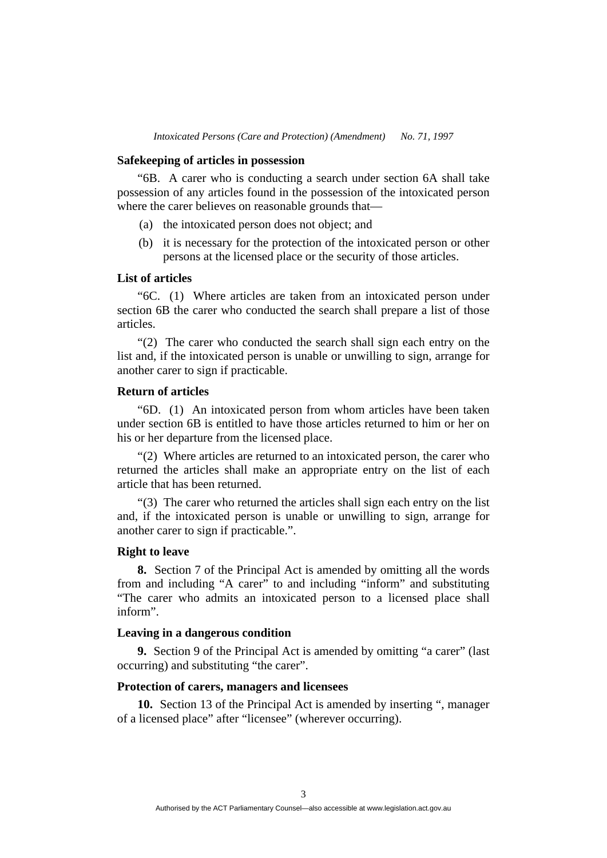#### **Safekeeping of articles in possession**

"6B. A carer who is conducting a search under section 6A shall take possession of any articles found in the possession of the intoxicated person where the carer believes on reasonable grounds that—

- (a) the intoxicated person does not object; and
- (b) it is necessary for the protection of the intoxicated person or other persons at the licensed place or the security of those articles.

#### **List of articles**

"6C. (1) Where articles are taken from an intoxicated person under section 6B the carer who conducted the search shall prepare a list of those articles.

"(2) The carer who conducted the search shall sign each entry on the list and, if the intoxicated person is unable or unwilling to sign, arrange for another carer to sign if practicable.

#### **Return of articles**

"6D. (1) An intoxicated person from whom articles have been taken under section 6B is entitled to have those articles returned to him or her on his or her departure from the licensed place.

"(2) Where articles are returned to an intoxicated person, the carer who returned the articles shall make an appropriate entry on the list of each article that has been returned.

"(3) The carer who returned the articles shall sign each entry on the list and, if the intoxicated person is unable or unwilling to sign, arrange for another carer to sign if practicable.".

#### **Right to leave**

**8.** Section 7 of the Principal Act is amended by omitting all the words from and including "A carer" to and including "inform" and substituting "The carer who admits an intoxicated person to a licensed place shall inform".

#### **Leaving in a dangerous condition**

**9.** Section 9 of the Principal Act is amended by omitting "a carer" (last occurring) and substituting "the carer".

### **Protection of carers, managers and licensees**

**10.** Section 13 of the Principal Act is amended by inserting ", manager of a licensed place" after "licensee" (wherever occurring).